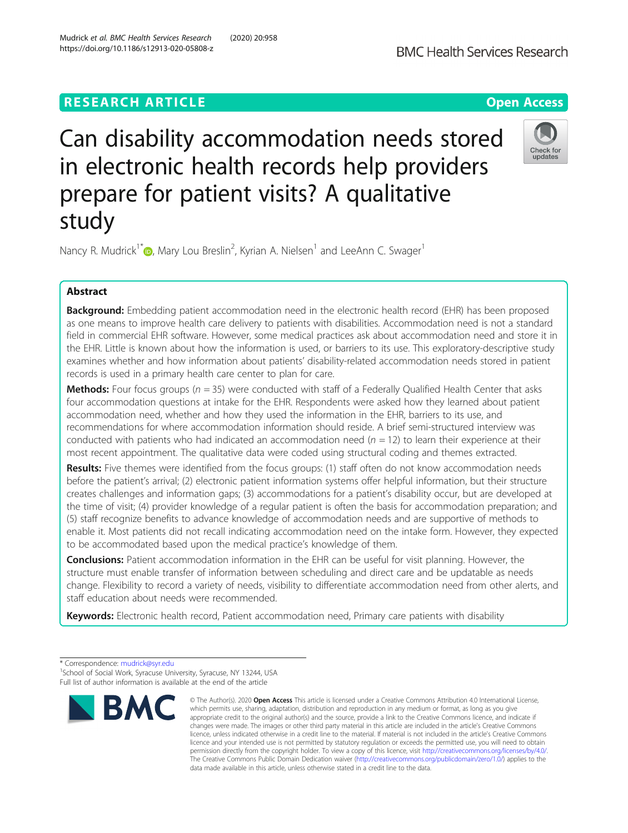## **RESEARCH ARTICLE Example 2018 12:30 The Contract of Contract Contract Open Access**

# Can disability accommodation needs stored in electronic health records help providers prepare for patient visits? A qualitative study

Nancy R. Mudrick<sup>1\*</sup>®[,](http://orcid.org/0000-0001-8372-7720) Mary Lou Breslin<sup>2</sup>, Kyrian A. Nielsen<sup>1</sup> and LeeAnn C. Swager<sup>1</sup>

### Abstract

**Background:** Embedding patient accommodation need in the electronic health record (EHR) has been proposed as one means to improve health care delivery to patients with disabilities. Accommodation need is not a standard field in commercial EHR software. However, some medical practices ask about accommodation need and store it in the EHR. Little is known about how the information is used, or barriers to its use. This exploratory-descriptive study examines whether and how information about patients' disability-related accommodation needs stored in patient records is used in a primary health care center to plan for care.

**Methods:** Four focus groups ( $n = 35$ ) were conducted with staff of a Federally Qualified Health Center that asks four accommodation questions at intake for the EHR. Respondents were asked how they learned about patient accommodation need, whether and how they used the information in the EHR, barriers to its use, and recommendations for where accommodation information should reside. A brief semi-structured interview was conducted with patients who had indicated an accommodation need  $(n = 12)$  to learn their experience at their most recent appointment. The qualitative data were coded using structural coding and themes extracted.

Results: Five themes were identified from the focus groups: (1) staff often do not know accommodation needs before the patient's arrival; (2) electronic patient information systems offer helpful information, but their structure creates challenges and information gaps; (3) accommodations for a patient's disability occur, but are developed at the time of visit; (4) provider knowledge of a regular patient is often the basis for accommodation preparation; and (5) staff recognize benefits to advance knowledge of accommodation needs and are supportive of methods to enable it. Most patients did not recall indicating accommodation need on the intake form. However, they expected to be accommodated based upon the medical practice's knowledge of them.

**Conclusions:** Patient accommodation information in the EHR can be useful for visit planning. However, the structure must enable transfer of information between scheduling and direct care and be updatable as needs change. Flexibility to record a variety of needs, visibility to differentiate accommodation need from other alerts, and staff education about needs were recommended.

data made available in this article, unless otherwise stated in a credit line to the data.

© The Author(s), 2020 **Open Access** This article is licensed under a Creative Commons Attribution 4.0 International License, which permits use, sharing, adaptation, distribution and reproduction in any medium or format, as long as you give appropriate credit to the original author(s) and the source, provide a link to the Creative Commons licence, and indicate if changes were made. The images or other third party material in this article are included in the article's Creative Commons licence, unless indicated otherwise in a credit line to the material. If material is not included in the article's Creative Commons licence and your intended use is not permitted by statutory regulation or exceeds the permitted use, you will need to obtain permission directly from the copyright holder. To view a copy of this licence, visit [http://creativecommons.org/licenses/by/4.0/.](http://creativecommons.org/licenses/by/4.0/) The Creative Commons Public Domain Dedication waiver [\(http://creativecommons.org/publicdomain/zero/1.0/](http://creativecommons.org/publicdomain/zero/1.0/)) applies to the

Keywords: Electronic health record, Patient accommodation need, Primary care patients with disability





<sup>\*</sup> Correspondence: [mudrick@syr.edu](mailto:mudrick@syr.edu) <sup>1</sup>

<sup>&</sup>lt;sup>1</sup>School of Social Work, Syracuse University, Syracuse, NY 13244, USA Full list of author information is available at the end of the article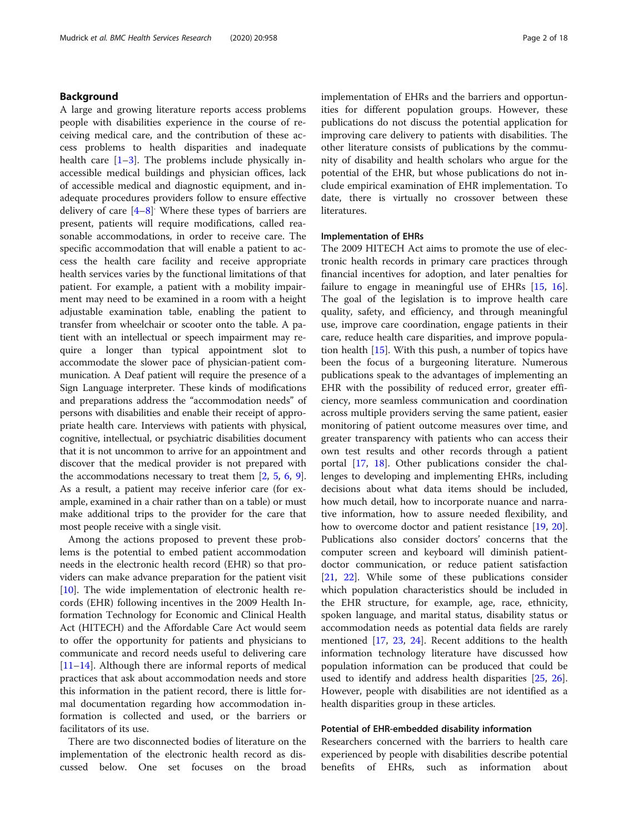### Background

A large and growing literature reports access problems people with disabilities experience in the course of receiving medical care, and the contribution of these access problems to health disparities and inadequate health care  $[1-3]$  $[1-3]$  $[1-3]$ . The problems include physically inaccessible medical buildings and physician offices, lack of accessible medical and diagnostic equipment, and inadequate procedures providers follow to ensure effective delivery of care [\[4](#page-16-0)-[8\]](#page-16-0) Where these types of barriers are present, patients will require modifications, called reasonable accommodations, in order to receive care. The specific accommodation that will enable a patient to access the health care facility and receive appropriate health services varies by the functional limitations of that patient. For example, a patient with a mobility impairment may need to be examined in a room with a height adjustable examination table, enabling the patient to transfer from wheelchair or scooter onto the table. A patient with an intellectual or speech impairment may require a longer than typical appointment slot to accommodate the slower pace of physician-patient communication. A Deaf patient will require the presence of a Sign Language interpreter. These kinds of modifications and preparations address the "accommodation needs" of persons with disabilities and enable their receipt of appropriate health care. Interviews with patients with physical, cognitive, intellectual, or psychiatric disabilities document that it is not uncommon to arrive for an appointment and discover that the medical provider is not prepared with the accommodations necessary to treat them [\[2](#page-16-0), [5,](#page-16-0) [6,](#page-16-0) [9](#page-16-0)]. As a result, a patient may receive inferior care (for example, examined in a chair rather than on a table) or must make additional trips to the provider for the care that most people receive with a single visit.

Among the actions proposed to prevent these problems is the potential to embed patient accommodation needs in the electronic health record (EHR) so that providers can make advance preparation for the patient visit  $[10]$  $[10]$ . The wide implementation of electronic health records (EHR) following incentives in the 2009 Health Information Technology for Economic and Clinical Health Act (HITECH) and the Affordable Care Act would seem to offer the opportunity for patients and physicians to communicate and record needs useful to delivering care [[11](#page-16-0)–[14](#page-16-0)]. Although there are informal reports of medical practices that ask about accommodation needs and store this information in the patient record, there is little formal documentation regarding how accommodation information is collected and used, or the barriers or facilitators of its use.

There are two disconnected bodies of literature on the implementation of the electronic health record as discussed below. One set focuses on the broad implementation of EHRs and the barriers and opportunities for different population groups. However, these publications do not discuss the potential application for improving care delivery to patients with disabilities. The other literature consists of publications by the community of disability and health scholars who argue for the potential of the EHR, but whose publications do not include empirical examination of EHR implementation. To date, there is virtually no crossover between these literatures.

### Implementation of EHRs

The 2009 HITECH Act aims to promote the use of electronic health records in primary care practices through financial incentives for adoption, and later penalties for failure to engage in meaningful use of EHRs [[15](#page-16-0), [16](#page-16-0)]. The goal of the legislation is to improve health care quality, safety, and efficiency, and through meaningful use, improve care coordination, engage patients in their care, reduce health care disparities, and improve population health [\[15\]](#page-16-0). With this push, a number of topics have been the focus of a burgeoning literature. Numerous publications speak to the advantages of implementing an EHR with the possibility of reduced error, greater efficiency, more seamless communication and coordination across multiple providers serving the same patient, easier monitoring of patient outcome measures over time, and greater transparency with patients who can access their own test results and other records through a patient portal [\[17](#page-16-0), [18\]](#page-16-0). Other publications consider the challenges to developing and implementing EHRs, including decisions about what data items should be included, how much detail, how to incorporate nuance and narrative information, how to assure needed flexibility, and how to overcome doctor and patient resistance [[19,](#page-16-0) [20](#page-16-0)]. Publications also consider doctors' concerns that the computer screen and keyboard will diminish patientdoctor communication, or reduce patient satisfaction [[21,](#page-16-0) [22\]](#page-16-0). While some of these publications consider which population characteristics should be included in the EHR structure, for example, age, race, ethnicity, spoken language, and marital status, disability status or accommodation needs as potential data fields are rarely mentioned  $[17, 23, 24]$  $[17, 23, 24]$  $[17, 23, 24]$  $[17, 23, 24]$  $[17, 23, 24]$  $[17, 23, 24]$ . Recent additions to the health information technology literature have discussed how population information can be produced that could be used to identify and address health disparities [\[25](#page-16-0), [26](#page-16-0)]. However, people with disabilities are not identified as a health disparities group in these articles.

### Potential of EHR-embedded disability information

Researchers concerned with the barriers to health care experienced by people with disabilities describe potential benefits of EHRs, such as information about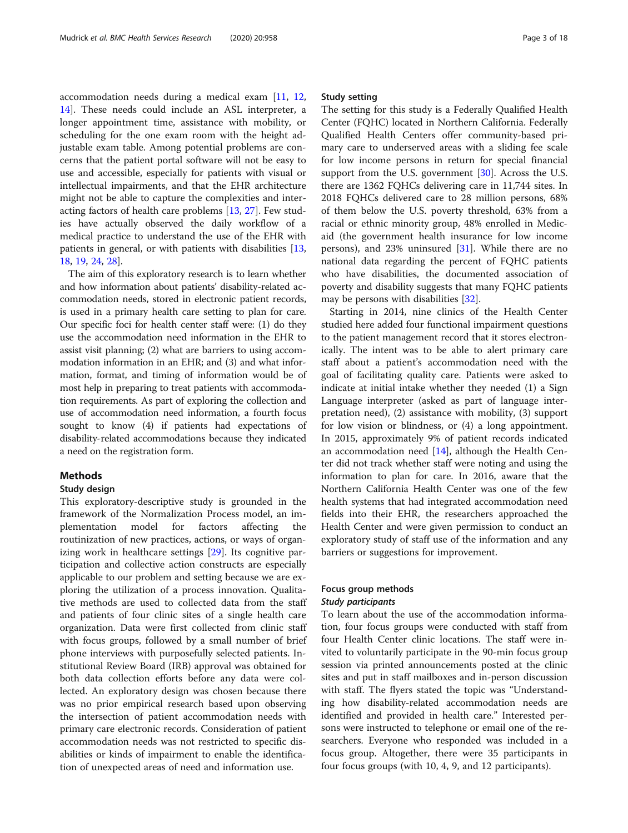accommodation needs during a medical exam [[11,](#page-16-0) [12](#page-16-0), [14\]](#page-16-0). These needs could include an ASL interpreter, a longer appointment time, assistance with mobility, or scheduling for the one exam room with the height adjustable exam table. Among potential problems are concerns that the patient portal software will not be easy to use and accessible, especially for patients with visual or intellectual impairments, and that the EHR architecture might not be able to capture the complexities and interacting factors of health care problems [\[13](#page-16-0), [27](#page-16-0)]. Few studies have actually observed the daily workflow of a medical practice to understand the use of the EHR with patients in general, or with patients with disabilities [[13](#page-16-0), [18,](#page-16-0) [19](#page-16-0), [24](#page-16-0), [28](#page-17-0)].

The aim of this exploratory research is to learn whether and how information about patients' disability-related accommodation needs, stored in electronic patient records, is used in a primary health care setting to plan for care. Our specific foci for health center staff were: (1) do they use the accommodation need information in the EHR to assist visit planning; (2) what are barriers to using accommodation information in an EHR; and (3) and what information, format, and timing of information would be of most help in preparing to treat patients with accommodation requirements. As part of exploring the collection and use of accommodation need information, a fourth focus sought to know (4) if patients had expectations of disability-related accommodations because they indicated a need on the registration form.

### **Methods**

### Study design

This exploratory-descriptive study is grounded in the framework of the Normalization Process model, an implementation model for factors affecting the routinization of new practices, actions, or ways of organizing work in healthcare settings [\[29\]](#page-17-0). Its cognitive participation and collective action constructs are especially applicable to our problem and setting because we are exploring the utilization of a process innovation. Qualitative methods are used to collected data from the staff and patients of four clinic sites of a single health care organization. Data were first collected from clinic staff with focus groups, followed by a small number of brief phone interviews with purposefully selected patients. Institutional Review Board (IRB) approval was obtained for both data collection efforts before any data were collected. An exploratory design was chosen because there was no prior empirical research based upon observing the intersection of patient accommodation needs with primary care electronic records. Consideration of patient accommodation needs was not restricted to specific disabilities or kinds of impairment to enable the identification of unexpected areas of need and information use.

### Study setting

The setting for this study is a Federally Qualified Health Center (FQHC) located in Northern California. Federally Qualified Health Centers offer community-based primary care to underserved areas with a sliding fee scale for low income persons in return for special financial support from the U.S. government [[30](#page-17-0)]. Across the U.S. there are 1362 FQHCs delivering care in 11,744 sites. In 2018 FQHCs delivered care to 28 million persons, 68% of them below the U.S. poverty threshold, 63% from a racial or ethnic minority group, 48% enrolled in Medicaid (the government health insurance for low income persons), and  $23\%$  uninsured  $[31]$ . While there are no national data regarding the percent of FQHC patients who have disabilities, the documented association of poverty and disability suggests that many FQHC patients may be persons with disabilities [[32\]](#page-17-0).

Starting in 2014, nine clinics of the Health Center studied here added four functional impairment questions to the patient management record that it stores electronically. The intent was to be able to alert primary care staff about a patient's accommodation need with the goal of facilitating quality care. Patients were asked to indicate at initial intake whether they needed (1) a Sign Language interpreter (asked as part of language interpretation need), (2) assistance with mobility, (3) support for low vision or blindness, or (4) a long appointment. In 2015, approximately 9% of patient records indicated an accommodation need  $[14]$  $[14]$ , although the Health Center did not track whether staff were noting and using the information to plan for care. In 2016, aware that the Northern California Health Center was one of the few health systems that had integrated accommodation need fields into their EHR, the researchers approached the Health Center and were given permission to conduct an exploratory study of staff use of the information and any barriers or suggestions for improvement.

### Focus group methods Study participants

To learn about the use of the accommodation information, four focus groups were conducted with staff from four Health Center clinic locations. The staff were invited to voluntarily participate in the 90-min focus group session via printed announcements posted at the clinic sites and put in staff mailboxes and in-person discussion with staff. The flyers stated the topic was "Understanding how disability-related accommodation needs are identified and provided in health care." Interested persons were instructed to telephone or email one of the researchers. Everyone who responded was included in a focus group. Altogether, there were 35 participants in four focus groups (with 10, 4, 9, and 12 participants).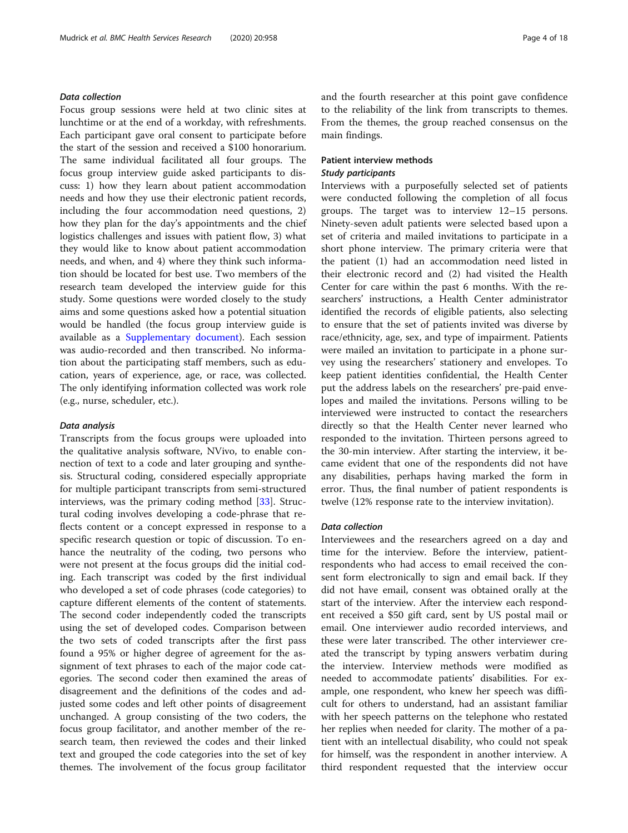### Data collection

Focus group sessions were held at two clinic sites at lunchtime or at the end of a workday, with refreshments. Each participant gave oral consent to participate before the start of the session and received a \$100 honorarium. The same individual facilitated all four groups. The focus group interview guide asked participants to discuss: 1) how they learn about patient accommodation needs and how they use their electronic patient records, including the four accommodation need questions, 2) how they plan for the day's appointments and the chief logistics challenges and issues with patient flow, 3) what they would like to know about patient accommodation needs, and when, and 4) where they think such information should be located for best use. Two members of the research team developed the interview guide for this study. Some questions were worded closely to the study aims and some questions asked how a potential situation would be handled (the focus group interview guide is available as a [Supplementary document\)](#page-15-0). Each session was audio-recorded and then transcribed. No information about the participating staff members, such as education, years of experience, age, or race, was collected. The only identifying information collected was work role (e.g., nurse, scheduler, etc.).

### Data analysis

Transcripts from the focus groups were uploaded into the qualitative analysis software, NVivo, to enable connection of text to a code and later grouping and synthesis. Structural coding, considered especially appropriate for multiple participant transcripts from semi-structured interviews, was the primary coding method  $[33]$  $[33]$ . Structural coding involves developing a code-phrase that reflects content or a concept expressed in response to a specific research question or topic of discussion. To enhance the neutrality of the coding, two persons who were not present at the focus groups did the initial coding. Each transcript was coded by the first individual who developed a set of code phrases (code categories) to capture different elements of the content of statements. The second coder independently coded the transcripts using the set of developed codes. Comparison between the two sets of coded transcripts after the first pass found a 95% or higher degree of agreement for the assignment of text phrases to each of the major code categories. The second coder then examined the areas of disagreement and the definitions of the codes and adjusted some codes and left other points of disagreement unchanged. A group consisting of the two coders, the focus group facilitator, and another member of the research team, then reviewed the codes and their linked text and grouped the code categories into the set of key themes. The involvement of the focus group facilitator

and the fourth researcher at this point gave confidence to the reliability of the link from transcripts to themes. From the themes, the group reached consensus on the main findings.

### Patient interview methods

### Study participants

Interviews with a purposefully selected set of patients were conducted following the completion of all focus groups. The target was to interview 12–15 persons. Ninety-seven adult patients were selected based upon a set of criteria and mailed invitations to participate in a short phone interview. The primary criteria were that the patient (1) had an accommodation need listed in their electronic record and (2) had visited the Health Center for care within the past 6 months. With the researchers' instructions, a Health Center administrator identified the records of eligible patients, also selecting to ensure that the set of patients invited was diverse by race/ethnicity, age, sex, and type of impairment. Patients were mailed an invitation to participate in a phone survey using the researchers' stationery and envelopes. To keep patient identities confidential, the Health Center put the address labels on the researchers' pre-paid envelopes and mailed the invitations. Persons willing to be interviewed were instructed to contact the researchers directly so that the Health Center never learned who responded to the invitation. Thirteen persons agreed to the 30-min interview. After starting the interview, it became evident that one of the respondents did not have any disabilities, perhaps having marked the form in error. Thus, the final number of patient respondents is twelve (12% response rate to the interview invitation).

#### Data collection

Interviewees and the researchers agreed on a day and time for the interview. Before the interview, patientrespondents who had access to email received the consent form electronically to sign and email back. If they did not have email, consent was obtained orally at the start of the interview. After the interview each respondent received a \$50 gift card, sent by US postal mail or email. One interviewer audio recorded interviews, and these were later transcribed. The other interviewer created the transcript by typing answers verbatim during the interview. Interview methods were modified as needed to accommodate patients' disabilities. For example, one respondent, who knew her speech was difficult for others to understand, had an assistant familiar with her speech patterns on the telephone who restated her replies when needed for clarity. The mother of a patient with an intellectual disability, who could not speak for himself, was the respondent in another interview. A third respondent requested that the interview occur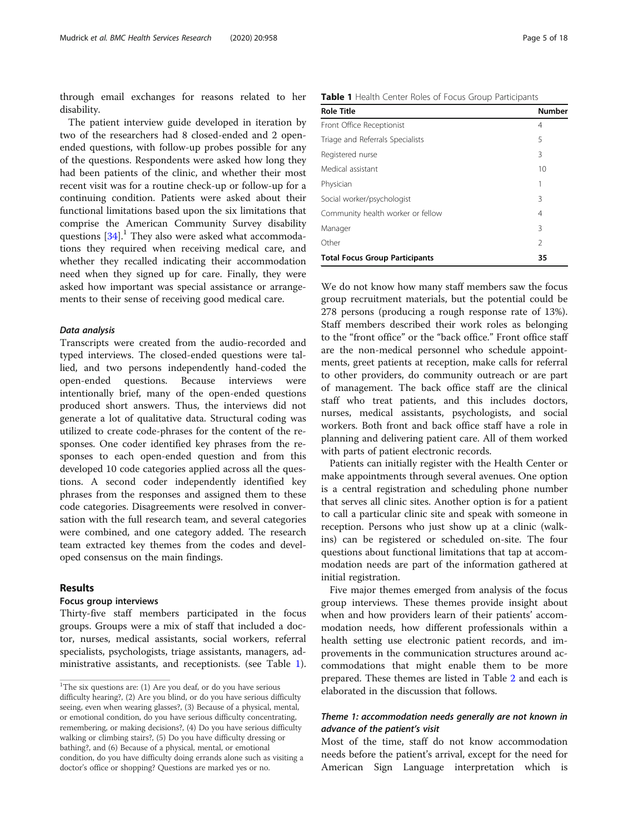through email exchanges for reasons related to her disability.

The patient interview guide developed in iteration by two of the researchers had 8 closed-ended and 2 openended questions, with follow-up probes possible for any of the questions. Respondents were asked how long they had been patients of the clinic, and whether their most recent visit was for a routine check-up or follow-up for a continuing condition. Patients were asked about their functional limitations based upon the six limitations that comprise the American Community Survey disability questions  $[34]$  $[34]$ .<sup>1</sup> They also were asked what accommodations they required when receiving medical care, and whether they recalled indicating their accommodation need when they signed up for care. Finally, they were asked how important was special assistance or arrangements to their sense of receiving good medical care.

### Data analysis

Transcripts were created from the audio-recorded and typed interviews. The closed-ended questions were tallied, and two persons independently hand-coded the open-ended questions. Because interviews were intentionally brief, many of the open-ended questions produced short answers. Thus, the interviews did not generate a lot of qualitative data. Structural coding was utilized to create code-phrases for the content of the responses. One coder identified key phrases from the responses to each open-ended question and from this developed 10 code categories applied across all the questions. A second coder independently identified key phrases from the responses and assigned them to these code categories. Disagreements were resolved in conversation with the full research team, and several categories were combined, and one category added. The research team extracted key themes from the codes and developed consensus on the main findings.

### Results

### Focus group interviews

Thirty-five staff members participated in the focus groups. Groups were a mix of staff that included a doctor, nurses, medical assistants, social workers, referral specialists, psychologists, triage assistants, managers, administrative assistants, and receptionists. (see Table 1).

Table 1 Health Center Roles of Focus Group Participants

| <b>Role Title</b>                     | <b>Number</b>  |
|---------------------------------------|----------------|
| Front Office Receptionist             | 4              |
| Triage and Referrals Specialists      | 5              |
| Registered nurse                      | 3              |
| Medical assistant                     | 10             |
| Physician                             | 1              |
| Social worker/psychologist            | 3              |
| Community health worker or fellow     | 4              |
| Manager                               | 3              |
| Other                                 | $\mathfrak{D}$ |
| <b>Total Focus Group Participants</b> | 35             |

We do not know how many staff members saw the focus group recruitment materials, but the potential could be 278 persons (producing a rough response rate of 13%). Staff members described their work roles as belonging to the "front office" or the "back office." Front office staff are the non-medical personnel who schedule appointments, greet patients at reception, make calls for referral to other providers, do community outreach or are part of management. The back office staff are the clinical staff who treat patients, and this includes doctors, nurses, medical assistants, psychologists, and social workers. Both front and back office staff have a role in planning and delivering patient care. All of them worked with parts of patient electronic records.

Patients can initially register with the Health Center or make appointments through several avenues. One option is a central registration and scheduling phone number that serves all clinic sites. Another option is for a patient to call a particular clinic site and speak with someone in reception. Persons who just show up at a clinic (walkins) can be registered or scheduled on-site. The four questions about functional limitations that tap at accommodation needs are part of the information gathered at initial registration.

Five major themes emerged from analysis of the focus group interviews. These themes provide insight about when and how providers learn of their patients' accommodation needs, how different professionals within a health setting use electronic patient records, and improvements in the communication structures around accommodations that might enable them to be more prepared. These themes are listed in Table [2](#page-5-0) and each is elaborated in the discussion that follows.

### Theme 1: accommodation needs generally are not known in advance of the patient's visit

Most of the time, staff do not know accommodation needs before the patient's arrival, except for the need for American Sign Language interpretation which is

<sup>&</sup>lt;sup>1</sup>The six questions are: (1) Are you deaf, or do you have serious difficulty hearing?, (2) Are you blind, or do you have serious difficulty seeing, even when wearing glasses?, (3) Because of a physical, mental, or emotional condition, do you have serious difficulty concentrating, remembering, or making decisions?, (4) Do you have serious difficulty walking or climbing stairs?, (5) Do you have difficulty dressing or bathing?, and (6) Because of a physical, mental, or emotional condition, do you have difficulty doing errands alone such as visiting a doctor's office or shopping? Questions are marked yes or no.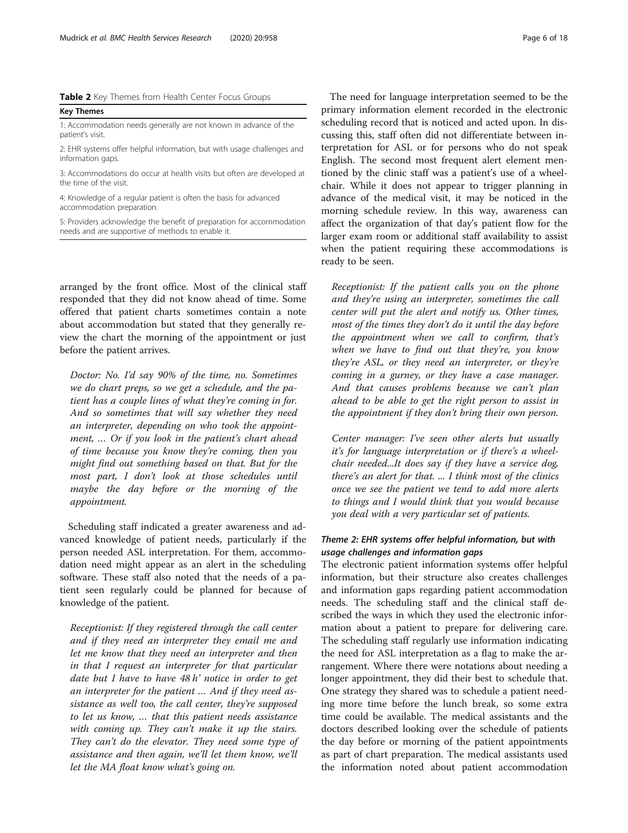<span id="page-5-0"></span>Table 2 Key Themes from Health Center Focus Groups

| <b>Key Themes</b> |
|-------------------|
|                   |

1: Accommodation needs generally are not known in advance of the patient's visit.

2: EHR systems offer helpful information, but with usage challenges and information gaps.

3: Accommodations do occur at health visits but often are developed at the time of the visit.

4: Knowledge of a regular patient is often the basis for advanced accommodation preparation.

5: Providers acknowledge the benefit of preparation for accommodation needs and are supportive of methods to enable it.

arranged by the front office. Most of the clinical staff responded that they did not know ahead of time. Some offered that patient charts sometimes contain a note about accommodation but stated that they generally review the chart the morning of the appointment or just before the patient arrives.

Doctor: No. I'd say 90% of the time, no. Sometimes we do chart preps, so we get a schedule, and the patient has a couple lines of what they're coming in for. And so sometimes that will say whether they need an interpreter, depending on who took the appointment, … Or if you look in the patient's chart ahead of time because you know they're coming, then you might find out something based on that. But for the most part, I don't look at those schedules until maybe the day before or the morning of the appointment.

Scheduling staff indicated a greater awareness and advanced knowledge of patient needs, particularly if the person needed ASL interpretation. For them, accommodation need might appear as an alert in the scheduling software. These staff also noted that the needs of a patient seen regularly could be planned for because of knowledge of the patient.

Receptionist: If they registered through the call center and if they need an interpreter they email me and let me know that they need an interpreter and then in that I request an interpreter for that particular date but I have to have 48 h' notice in order to get an interpreter for the patient … And if they need assistance as well too, the call center, they're supposed to let us know, … that this patient needs assistance with coming up. They can't make it up the stairs. They can't do the elevator. They need some type of assistance and then again, we'll let them know, we'll let the MA float know what's going on.

The need for language interpretation seemed to be the primary information element recorded in the electronic scheduling record that is noticed and acted upon. In discussing this, staff often did not differentiate between interpretation for ASL or for persons who do not speak English. The second most frequent alert element mentioned by the clinic staff was a patient's use of a wheelchair. While it does not appear to trigger planning in advance of the medical visit, it may be noticed in the morning schedule review. In this way, awareness can affect the organization of that day's patient flow for the larger exam room or additional staff availability to assist when the patient requiring these accommodations is ready to be seen.

Receptionist: If the patient calls you on the phone and they're using an interpreter, sometimes the call center will put the alert and notify us. Other times, most of the times they don't do it until the day before the appointment when we call to confirm, that's when we have to find out that they're, you know they're ASL, or they need an interpreter, or they're coming in a gurney, or they have a case manager. And that causes problems because we can't plan ahead to be able to get the right person to assist in the appointment if they don't bring their own person.

Center manager: I've seen other alerts but usually it's for language interpretation or if there's a wheelchair needed...It does say if they have a service dog, there's an alert for that. ... I think most of the clinics once we see the patient we tend to add more alerts to things and I would think that you would because you deal with a very particular set of patients.

### Theme 2: EHR systems offer helpful information, but with usage challenges and information gaps

The electronic patient information systems offer helpful information, but their structure also creates challenges and information gaps regarding patient accommodation needs. The scheduling staff and the clinical staff described the ways in which they used the electronic information about a patient to prepare for delivering care. The scheduling staff regularly use information indicating the need for ASL interpretation as a flag to make the arrangement. Where there were notations about needing a longer appointment, they did their best to schedule that. One strategy they shared was to schedule a patient needing more time before the lunch break, so some extra time could be available. The medical assistants and the doctors described looking over the schedule of patients the day before or morning of the patient appointments as part of chart preparation. The medical assistants used the information noted about patient accommodation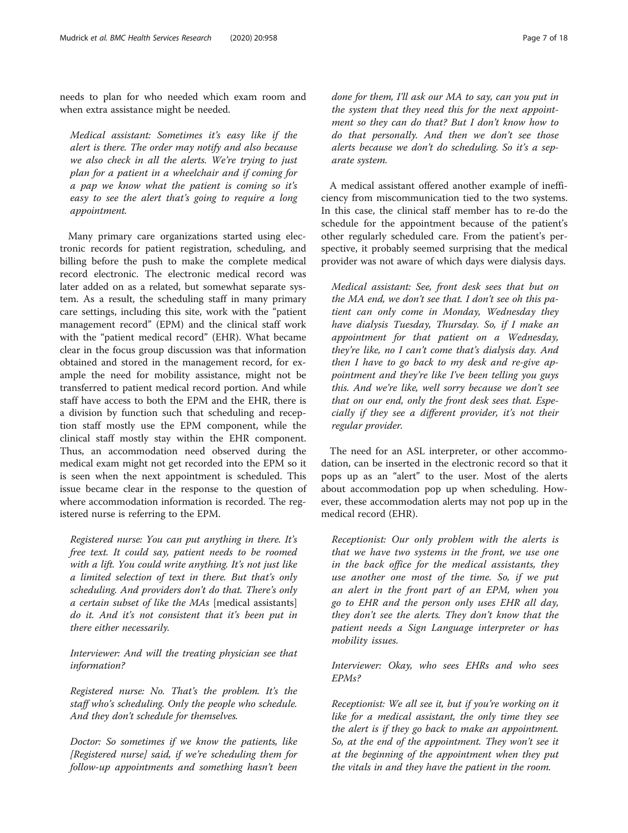needs to plan for who needed which exam room and when extra assistance might be needed.

Medical assistant: Sometimes it's easy like if the alert is there. The order may notify and also because we also check in all the alerts. We're trying to just plan for a patient in a wheelchair and if coming for a pap we know what the patient is coming so it's easy to see the alert that's going to require a long appointment.

Many primary care organizations started using electronic records for patient registration, scheduling, and billing before the push to make the complete medical record electronic. The electronic medical record was later added on as a related, but somewhat separate system. As a result, the scheduling staff in many primary care settings, including this site, work with the "patient management record" (EPM) and the clinical staff work with the "patient medical record" (EHR). What became clear in the focus group discussion was that information obtained and stored in the management record, for example the need for mobility assistance, might not be transferred to patient medical record portion. And while staff have access to both the EPM and the EHR, there is a division by function such that scheduling and reception staff mostly use the EPM component, while the clinical staff mostly stay within the EHR component. Thus, an accommodation need observed during the medical exam might not get recorded into the EPM so it is seen when the next appointment is scheduled. This issue became clear in the response to the question of where accommodation information is recorded. The registered nurse is referring to the EPM.

Registered nurse: You can put anything in there. It's free text. It could say, patient needs to be roomed with a lift. You could write anything. It's not just like a limited selection of text in there. But that's only scheduling. And providers don't do that. There's only a certain subset of like the MAs [medical assistants] do it. And it's not consistent that it's been put in there either necessarily.

Interviewer: And will the treating physician see that information?

Registered nurse: No. That's the problem. It's the staff who's scheduling. Only the people who schedule. And they don't schedule for themselves.

Doctor: So sometimes if we know the patients, like [Registered nurse] said, if we're scheduling them for follow-up appointments and something hasn't been done for them, I'll ask our MA to say, can you put in the system that they need this for the next appointment so they can do that? But I don't know how to do that personally. And then we don't see those alerts because we don't do scheduling. So it's a separate system.

A medical assistant offered another example of inefficiency from miscommunication tied to the two systems. In this case, the clinical staff member has to re-do the schedule for the appointment because of the patient's other regularly scheduled care. From the patient's perspective, it probably seemed surprising that the medical provider was not aware of which days were dialysis days.

Medical assistant: See, front desk sees that but on the MA end, we don't see that. I don't see oh this patient can only come in Monday, Wednesday they have dialysis Tuesday, Thursday. So, if I make an appointment for that patient on a Wednesday, they're like, no I can't come that's dialysis day. And then I have to go back to my desk and re-give appointment and they're like I've been telling you guys this. And we're like, well sorry because we don't see that on our end, only the front desk sees that. Especially if they see a different provider, it's not their regular provider.

The need for an ASL interpreter, or other accommodation, can be inserted in the electronic record so that it pops up as an "alert" to the user. Most of the alerts about accommodation pop up when scheduling. However, these accommodation alerts may not pop up in the medical record (EHR).

Receptionist: Our only problem with the alerts is that we have two systems in the front, we use one in the back office for the medical assistants, they use another one most of the time. So, if we put an alert in the front part of an EPM, when you go to EHR and the person only uses EHR all day, they don't see the alerts. They don't know that the patient needs a Sign Language interpreter or has mobility issues.

Interviewer: Okay, who sees EHRs and who sees EPMs?

Receptionist: We all see it, but if you're working on it like for a medical assistant, the only time they see the alert is if they go back to make an appointment. So, at the end of the appointment. They won't see it at the beginning of the appointment when they put the vitals in and they have the patient in the room.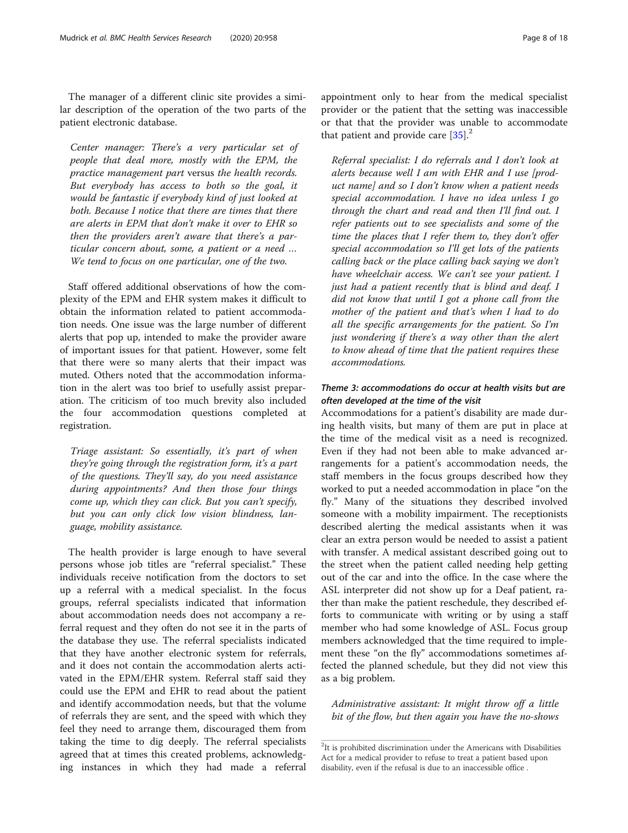The manager of a different clinic site provides a similar description of the operation of the two parts of the patient electronic database.

Center manager: There's a very particular set of people that deal more, mostly with the EPM, the practice management part versus the health records. But everybody has access to both so the goal, it would be fantastic if everybody kind of just looked at both. Because I notice that there are times that there are alerts in EPM that don't make it over to EHR so then the providers aren't aware that there's a particular concern about, some, a patient or a need … We tend to focus on one particular, one of the two.

Staff offered additional observations of how the complexity of the EPM and EHR system makes it difficult to obtain the information related to patient accommodation needs. One issue was the large number of different alerts that pop up, intended to make the provider aware of important issues for that patient. However, some felt that there were so many alerts that their impact was muted. Others noted that the accommodation information in the alert was too brief to usefully assist preparation. The criticism of too much brevity also included the four accommodation questions completed at registration.

Triage assistant: So essentially, it's part of when they're going through the registration form, it's a part of the questions. They'll say, do you need assistance during appointments? And then those four things come up, which they can click. But you can't specify, but you can only click low vision blindness, language, mobility assistance.

The health provider is large enough to have several persons whose job titles are "referral specialist." These individuals receive notification from the doctors to set up a referral with a medical specialist. In the focus groups, referral specialists indicated that information about accommodation needs does not accompany a referral request and they often do not see it in the parts of the database they use. The referral specialists indicated that they have another electronic system for referrals, and it does not contain the accommodation alerts activated in the EPM/EHR system. Referral staff said they could use the EPM and EHR to read about the patient and identify accommodation needs, but that the volume of referrals they are sent, and the speed with which they feel they need to arrange them, discouraged them from taking the time to dig deeply. The referral specialists agreed that at times this created problems, acknowledging instances in which they had made a referral

appointment only to hear from the medical specialist provider or the patient that the setting was inaccessible or that that the provider was unable to accommodate that patient and provide care  $[35]$  $[35]$  $[35]$ <sup>2</sup>

Referral specialist: I do referrals and I don't look at alerts because well I am with EHR and I use [product name] and so I don't know when a patient needs special accommodation. I have no idea unless I go through the chart and read and then I'll find out. I refer patients out to see specialists and some of the time the places that I refer them to, they don't offer special accommodation so I'll get lots of the patients calling back or the place calling back saying we don't have wheelchair access. We can't see your patient. I just had a patient recently that is blind and deaf. I did not know that until I got a phone call from the mother of the patient and that's when I had to do all the specific arrangements for the patient. So I'm just wondering if there's a way other than the alert to know ahead of time that the patient requires these accommodations.

### Theme 3: accommodations do occur at health visits but are often developed at the time of the visit

Accommodations for a patient's disability are made during health visits, but many of them are put in place at the time of the medical visit as a need is recognized. Even if they had not been able to make advanced arrangements for a patient's accommodation needs, the staff members in the focus groups described how they worked to put a needed accommodation in place "on the fly." Many of the situations they described involved someone with a mobility impairment. The receptionists described alerting the medical assistants when it was clear an extra person would be needed to assist a patient with transfer. A medical assistant described going out to the street when the patient called needing help getting out of the car and into the office. In the case where the ASL interpreter did not show up for a Deaf patient, rather than make the patient reschedule, they described efforts to communicate with writing or by using a staff member who had some knowledge of ASL. Focus group members acknowledged that the time required to implement these "on the fly" accommodations sometimes affected the planned schedule, but they did not view this as a big problem.

Administrative assistant: It might throw off a little bit of the flow, but then again you have the no-shows

<sup>&</sup>lt;sup>2</sup>It is prohibited discrimination under the Americans with Disabilities Act for a medical provider to refuse to treat a patient based upon disability, even if the refusal is due to an inaccessible office .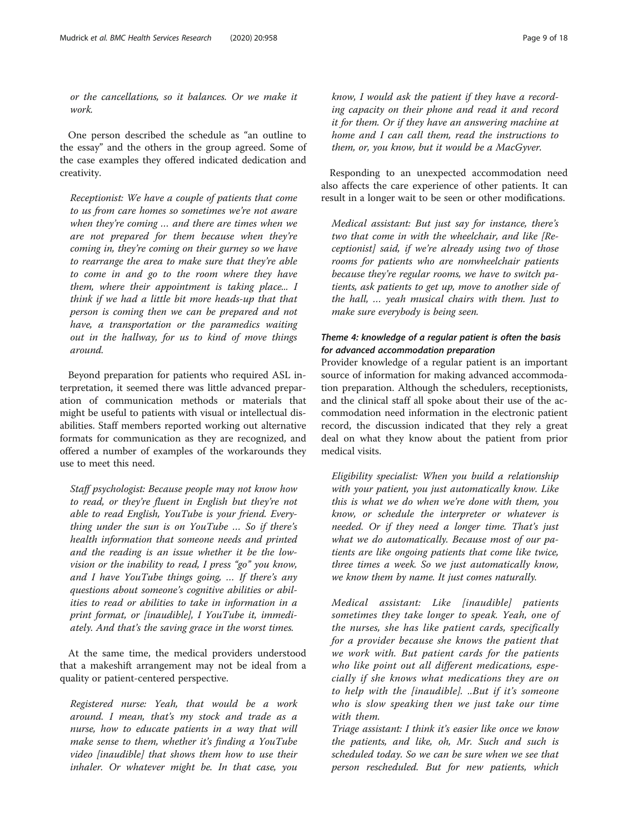or the cancellations, so it balances. Or we make it work.

One person described the schedule as "an outline to the essay" and the others in the group agreed. Some of the case examples they offered indicated dedication and creativity.

Receptionist: We have a couple of patients that come to us from care homes so sometimes we're not aware when they're coming … and there are times when we are not prepared for them because when they're coming in, they're coming on their gurney so we have to rearrange the area to make sure that they're able to come in and go to the room where they have them, where their appointment is taking place... I think if we had a little bit more heads-up that that person is coming then we can be prepared and not have, a transportation or the paramedics waiting out in the hallway, for us to kind of move things around.

Beyond preparation for patients who required ASL interpretation, it seemed there was little advanced preparation of communication methods or materials that might be useful to patients with visual or intellectual disabilities. Staff members reported working out alternative formats for communication as they are recognized, and offered a number of examples of the workarounds they use to meet this need.

Staff psychologist: Because people may not know how to read, or they're fluent in English but they're not able to read English, YouTube is your friend. Everything under the sun is on YouTube … So if there's health information that someone needs and printed and the reading is an issue whether it be the lowvision or the inability to read, I press "go" you know, and I have YouTube things going, … If there's any questions about someone's cognitive abilities or abilities to read or abilities to take in information in a print format, or [inaudible], I YouTube it, immediately. And that's the saving grace in the worst times.

At the same time, the medical providers understood that a makeshift arrangement may not be ideal from a quality or patient-centered perspective.

Registered nurse: Yeah, that would be a work around. I mean, that's my stock and trade as a nurse, how to educate patients in a way that will make sense to them, whether it's finding a YouTube video [inaudible] that shows them how to use their inhaler. Or whatever might be. In that case, you

know, I would ask the patient if they have a recording capacity on their phone and read it and record it for them. Or if they have an answering machine at home and I can call them, read the instructions to them, or, you know, but it would be a MacGyver.

Responding to an unexpected accommodation need also affects the care experience of other patients. It can result in a longer wait to be seen or other modifications.

Medical assistant: But just say for instance, there's two that come in with the wheelchair, and like [Receptionist] said, if we're already using two of those rooms for patients who are nonwheelchair patients because they're regular rooms, we have to switch patients, ask patients to get up, move to another side of the hall, … yeah musical chairs with them. Just to make sure everybody is being seen.

### Theme 4: knowledge of a regular patient is often the basis for advanced accommodation preparation

Provider knowledge of a regular patient is an important source of information for making advanced accommodation preparation. Although the schedulers, receptionists, and the clinical staff all spoke about their use of the accommodation need information in the electronic patient record, the discussion indicated that they rely a great deal on what they know about the patient from prior medical visits.

Eligibility specialist: When you build a relationship with your patient, you just automatically know. Like this is what we do when we're done with them, you know, or schedule the interpreter or whatever is needed. Or if they need a longer time. That's just what we do automatically. Because most of our patients are like ongoing patients that come like twice, three times a week. So we just automatically know, we know them by name. It just comes naturally.

Medical assistant: Like [inaudible] patients sometimes they take longer to speak. Yeah, one of the nurses, she has like patient cards, specifically for a provider because she knows the patient that we work with. But patient cards for the patients who like point out all different medications, especially if she knows what medications they are on to help with the [inaudible]. ..But if it's someone who is slow speaking then we just take our time with them.

Triage assistant: I think it's easier like once we know the patients, and like, oh, Mr. Such and such is scheduled today. So we can be sure when we see that person rescheduled. But for new patients, which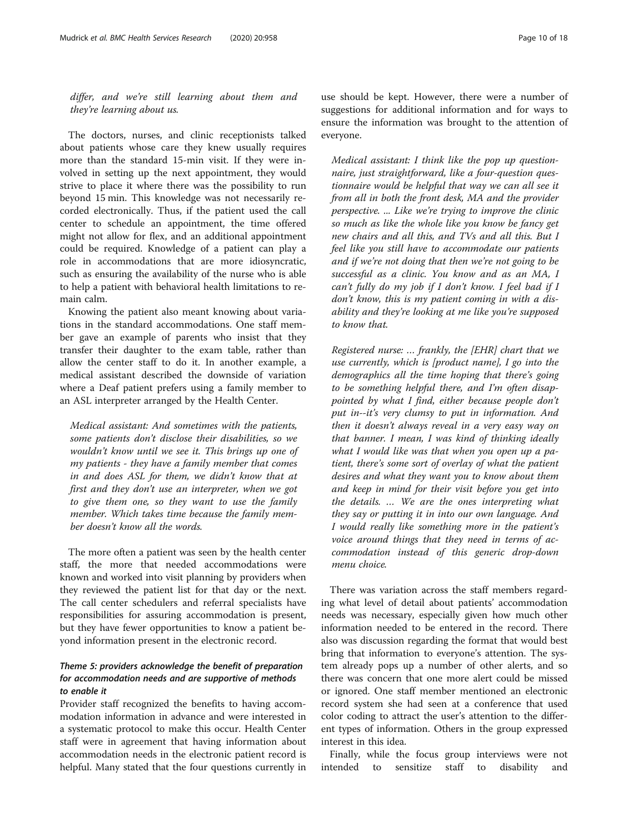differ, and we're still learning about them and they're learning about us.

The doctors, nurses, and clinic receptionists talked about patients whose care they knew usually requires more than the standard 15-min visit. If they were involved in setting up the next appointment, they would strive to place it where there was the possibility to run beyond 15 min. This knowledge was not necessarily recorded electronically. Thus, if the patient used the call center to schedule an appointment, the time offered might not allow for flex, and an additional appointment could be required. Knowledge of a patient can play a role in accommodations that are more idiosyncratic, such as ensuring the availability of the nurse who is able to help a patient with behavioral health limitations to remain calm.

Knowing the patient also meant knowing about variations in the standard accommodations. One staff member gave an example of parents who insist that they transfer their daughter to the exam table, rather than allow the center staff to do it. In another example, a medical assistant described the downside of variation where a Deaf patient prefers using a family member to an ASL interpreter arranged by the Health Center.

Medical assistant: And sometimes with the patients, some patients don't disclose their disabilities, so we wouldn't know until we see it. This brings up one of my patients - they have a family member that comes in and does ASL for them, we didn't know that at first and they don't use an interpreter, when we got to give them one, so they want to use the family member. Which takes time because the family member doesn't know all the words.

The more often a patient was seen by the health center staff, the more that needed accommodations were known and worked into visit planning by providers when they reviewed the patient list for that day or the next. The call center schedulers and referral specialists have responsibilities for assuring accommodation is present, but they have fewer opportunities to know a patient beyond information present in the electronic record.

### Theme 5: providers acknowledge the benefit of preparation for accommodation needs and are supportive of methods to enable it

Provider staff recognized the benefits to having accommodation information in advance and were interested in a systematic protocol to make this occur. Health Center staff were in agreement that having information about accommodation needs in the electronic patient record is helpful. Many stated that the four questions currently in use should be kept. However, there were a number of suggestions for additional information and for ways to ensure the information was brought to the attention of everyone.

Medical assistant: I think like the pop up questionnaire, just straightforward, like a four-question questionnaire would be helpful that way we can all see it from all in both the front desk, MA and the provider perspective. ... Like we're trying to improve the clinic so much as like the whole like you know be fancy get new chairs and all this, and TVs and all this. But I feel like you still have to accommodate our patients and if we're not doing that then we're not going to be successful as a clinic. You know and as an MA, I can't fully do my job if I don't know. I feel bad if I don't know, this is my patient coming in with a disability and they're looking at me like you're supposed to know that.

Registered nurse: … frankly, the [EHR] chart that we use currently, which is [product name], I go into the demographics all the time hoping that there's going to be something helpful there, and I'm often disappointed by what I find, either because people don't put in--it's very clumsy to put in information. And then it doesn't always reveal in a very easy way on that banner. I mean, I was kind of thinking ideally what I would like was that when you open up a patient, there's some sort of overlay of what the patient desires and what they want you to know about them and keep in mind for their visit before you get into the details. … We are the ones interpreting what they say or putting it in into our own language. And I would really like something more in the patient's voice around things that they need in terms of accommodation instead of this generic drop-down menu choice.

There was variation across the staff members regarding what level of detail about patients' accommodation needs was necessary, especially given how much other information needed to be entered in the record. There also was discussion regarding the format that would best bring that information to everyone's attention. The system already pops up a number of other alerts, and so there was concern that one more alert could be missed or ignored. One staff member mentioned an electronic record system she had seen at a conference that used color coding to attract the user's attention to the different types of information. Others in the group expressed interest in this idea.

Finally, while the focus group interviews were not intended to sensitize staff to disability and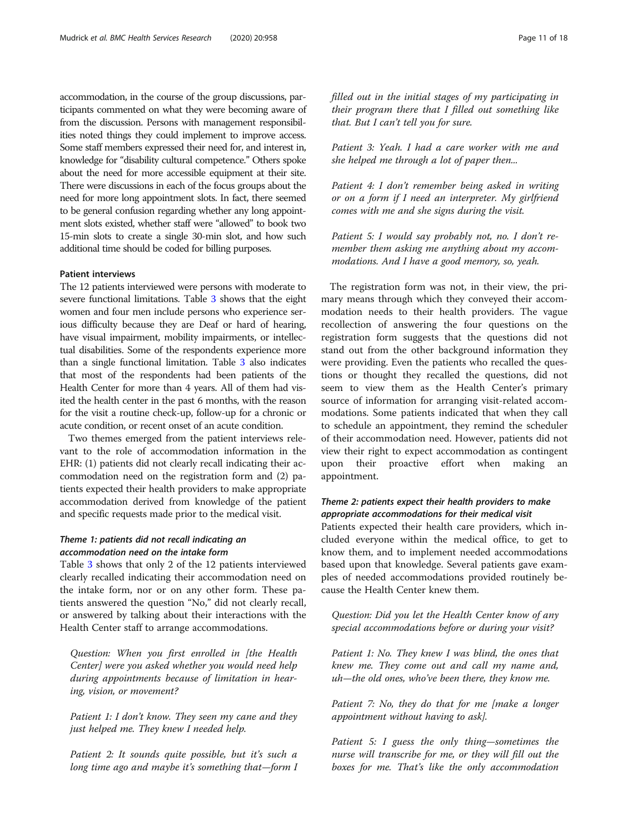accommodation, in the course of the group discussions, participants commented on what they were becoming aware of from the discussion. Persons with management responsibilities noted things they could implement to improve access. Some staff members expressed their need for, and interest in, knowledge for "disability cultural competence." Others spoke about the need for more accessible equipment at their site. There were discussions in each of the focus groups about the need for more long appointment slots. In fact, there seemed to be general confusion regarding whether any long appointment slots existed, whether staff were "allowed" to book two 15-min slots to create a single 30-min slot, and how such additional time should be coded for billing purposes.

### Patient interviews

The 12 patients interviewed were persons with moderate to severe functional limitations. Table [3](#page-11-0) shows that the eight women and four men include persons who experience serious difficulty because they are Deaf or hard of hearing, have visual impairment, mobility impairments, or intellectual disabilities. Some of the respondents experience more than a single functional limitation. Table [3](#page-11-0) also indicates that most of the respondents had been patients of the Health Center for more than 4 years. All of them had visited the health center in the past 6 months, with the reason for the visit a routine check-up, follow-up for a chronic or acute condition, or recent onset of an acute condition.

Two themes emerged from the patient interviews relevant to the role of accommodation information in the EHR: (1) patients did not clearly recall indicating their accommodation need on the registration form and (2) patients expected their health providers to make appropriate accommodation derived from knowledge of the patient and specific requests made prior to the medical visit.

### Theme 1: patients did not recall indicating an accommodation need on the intake form

Table [3](#page-11-0) shows that only 2 of the 12 patients interviewed clearly recalled indicating their accommodation need on the intake form, nor or on any other form. These patients answered the question "No," did not clearly recall, or answered by talking about their interactions with the Health Center staff to arrange accommodations.

Question: When you first enrolled in [the Health Center] were you asked whether you would need help during appointments because of limitation in hearing, vision, or movement?

Patient 1: I don't know. They seen my cane and they just helped me. They knew I needed help.

Patient 2: It sounds quite possible, but it's such a long time ago and maybe it's something that—form I filled out in the initial stages of my participating in their program there that I filled out something like that. But I can't tell you for sure.

Patient 3: Yeah. I had a care worker with me and she helped me through a lot of paper then...

Patient 4: I don't remember being asked in writing or on a form if I need an interpreter. My girlfriend comes with me and she signs during the visit.

Patient 5: I would say probably not, no. I don't remember them asking me anything about my accommodations. And I have a good memory, so, yeah.

The registration form was not, in their view, the primary means through which they conveyed their accommodation needs to their health providers. The vague recollection of answering the four questions on the registration form suggests that the questions did not stand out from the other background information they were providing. Even the patients who recalled the questions or thought they recalled the questions, did not seem to view them as the Health Center's primary source of information for arranging visit-related accommodations. Some patients indicated that when they call to schedule an appointment, they remind the scheduler of their accommodation need. However, patients did not view their right to expect accommodation as contingent upon their proactive effort when making an appointment.

### Theme 2: patients expect their health providers to make appropriate accommodations for their medical visit

Patients expected their health care providers, which included everyone within the medical office, to get to know them, and to implement needed accommodations based upon that knowledge. Several patients gave examples of needed accommodations provided routinely because the Health Center knew them.

Question: Did you let the Health Center know of any special accommodations before or during your visit?

Patient 1: No. They knew I was blind, the ones that knew me. They come out and call my name and, uh—the old ones, who've been there, they know me.

Patient 7: No, they do that for me [make a longer appointment without having to ask].

Patient 5: I guess the only thing—sometimes the nurse will transcribe for me, or they will fill out the boxes for me. That's like the only accommodation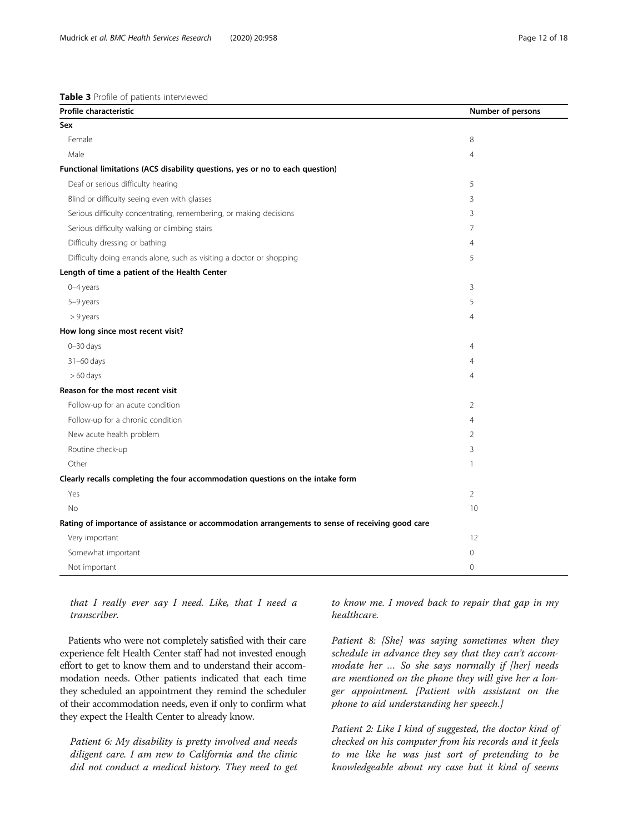<span id="page-11-0"></span>

| Profile characteristic                                                                           | Number of persons |
|--------------------------------------------------------------------------------------------------|-------------------|
| Sex                                                                                              |                   |
| Female                                                                                           | 8                 |
| Male                                                                                             | $\overline{4}$    |
| Functional limitations (ACS disability questions, yes or no to each question)                    |                   |
| Deaf or serious difficulty hearing                                                               | 5                 |
| Blind or difficulty seeing even with glasses                                                     | 3                 |
| Serious difficulty concentrating, remembering, or making decisions                               | 3                 |
| Serious difficulty walking or climbing stairs                                                    | 7                 |
| Difficulty dressing or bathing                                                                   | $\overline{4}$    |
| Difficulty doing errands alone, such as visiting a doctor or shopping                            | 5                 |
| Length of time a patient of the Health Center                                                    |                   |
| 0-4 years                                                                                        | 3                 |
| 5-9 years                                                                                        | 5                 |
| > 9 years                                                                                        | $\overline{4}$    |
| How long since most recent visit?                                                                |                   |
| $0 - 30$ days                                                                                    | $\overline{4}$    |
| $31-60$ days                                                                                     | $\overline{4}$    |
| $>60$ days                                                                                       | 4                 |
| Reason for the most recent visit                                                                 |                   |
| Follow-up for an acute condition                                                                 | 2                 |
| Follow-up for a chronic condition                                                                | $\overline{4}$    |
| New acute health problem                                                                         | $\overline{2}$    |
| Routine check-up                                                                                 | 3                 |
| Other                                                                                            | 1                 |
| Clearly recalls completing the four accommodation questions on the intake form                   |                   |
| Yes                                                                                              | $\overline{2}$    |
| No                                                                                               | 10                |
| Rating of importance of assistance or accommodation arrangements to sense of receiving good care |                   |
| Very important                                                                                   | 12                |
| Somewhat important                                                                               | $\mathbf 0$       |
| Not important                                                                                    | $\overline{0}$    |

that I really ever say I need. Like, that I need a transcriber.

Patients who were not completely satisfied with their care experience felt Health Center staff had not invested enough effort to get to know them and to understand their accommodation needs. Other patients indicated that each time they scheduled an appointment they remind the scheduler of their accommodation needs, even if only to confirm what they expect the Health Center to already know.

Patient 6: My disability is pretty involved and needs diligent care. I am new to California and the clinic did not conduct a medical history. They need to get

to know me. I moved back to repair that gap in my healthcare.

Patient 8: [She] was saying sometimes when they schedule in advance they say that they can't accommodate her … So she says normally if [her] needs are mentioned on the phone they will give her a longer appointment. [Patient with assistant on the phone to aid understanding her speech.]

Patient 2: Like I kind of suggested, the doctor kind of checked on his computer from his records and it feels to me like he was just sort of pretending to be knowledgeable about my case but it kind of seems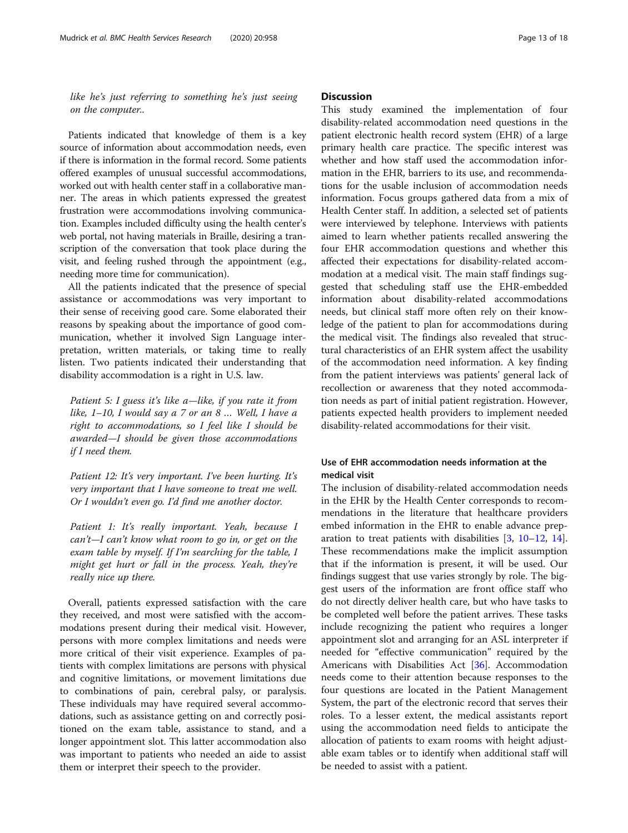like he's just referring to something he's just seeing on the computer..

Patients indicated that knowledge of them is a key source of information about accommodation needs, even if there is information in the formal record. Some patients offered examples of unusual successful accommodations, worked out with health center staff in a collaborative manner. The areas in which patients expressed the greatest frustration were accommodations involving communication. Examples included difficulty using the health center's web portal, not having materials in Braille, desiring a transcription of the conversation that took place during the visit, and feeling rushed through the appointment (e.g., needing more time for communication).

All the patients indicated that the presence of special assistance or accommodations was very important to their sense of receiving good care. Some elaborated their reasons by speaking about the importance of good communication, whether it involved Sign Language interpretation, written materials, or taking time to really listen. Two patients indicated their understanding that disability accommodation is a right in U.S. law.

Patient 5: I guess it's like a—like, if you rate it from like,  $1-10$ , I would say a 7 or an 8 ... Well, I have a right to accommodations, so I feel like I should be awarded—I should be given those accommodations if I need them.

Patient 12: It's very important. I've been hurting. It's very important that I have someone to treat me well. Or I wouldn't even go. I'd find me another doctor.

Patient 1: It's really important. Yeah, because I can't—I can't know what room to go in, or get on the exam table by myself. If I'm searching for the table, I might get hurt or fall in the process. Yeah, they're really nice up there.

Overall, patients expressed satisfaction with the care they received, and most were satisfied with the accommodations present during their medical visit. However, persons with more complex limitations and needs were more critical of their visit experience. Examples of patients with complex limitations are persons with physical and cognitive limitations, or movement limitations due to combinations of pain, cerebral palsy, or paralysis. These individuals may have required several accommodations, such as assistance getting on and correctly positioned on the exam table, assistance to stand, and a longer appointment slot. This latter accommodation also was important to patients who needed an aide to assist them or interpret their speech to the provider.

### **Discussion**

This study examined the implementation of four disability-related accommodation need questions in the patient electronic health record system (EHR) of a large primary health care practice. The specific interest was whether and how staff used the accommodation information in the EHR, barriers to its use, and recommendations for the usable inclusion of accommodation needs information. Focus groups gathered data from a mix of Health Center staff. In addition, a selected set of patients were interviewed by telephone. Interviews with patients aimed to learn whether patients recalled answering the four EHR accommodation questions and whether this affected their expectations for disability-related accommodation at a medical visit. The main staff findings suggested that scheduling staff use the EHR-embedded information about disability-related accommodations needs, but clinical staff more often rely on their knowledge of the patient to plan for accommodations during the medical visit. The findings also revealed that structural characteristics of an EHR system affect the usability of the accommodation need information. A key finding from the patient interviews was patients' general lack of recollection or awareness that they noted accommodation needs as part of initial patient registration. However, patients expected health providers to implement needed disability-related accommodations for their visit.

### Use of EHR accommodation needs information at the medical visit

The inclusion of disability-related accommodation needs in the EHR by the Health Center corresponds to recommendations in the literature that healthcare providers embed information in the EHR to enable advance preparation to treat patients with disabilities [[3,](#page-16-0) [10](#page-16-0)–[12](#page-16-0), [14](#page-16-0)]. These recommendations make the implicit assumption that if the information is present, it will be used. Our findings suggest that use varies strongly by role. The biggest users of the information are front office staff who do not directly deliver health care, but who have tasks to be completed well before the patient arrives. These tasks include recognizing the patient who requires a longer appointment slot and arranging for an ASL interpreter if needed for "effective communication" required by the Americans with Disabilities Act [[36\]](#page-17-0). Accommodation needs come to their attention because responses to the four questions are located in the Patient Management System, the part of the electronic record that serves their roles. To a lesser extent, the medical assistants report using the accommodation need fields to anticipate the allocation of patients to exam rooms with height adjustable exam tables or to identify when additional staff will be needed to assist with a patient.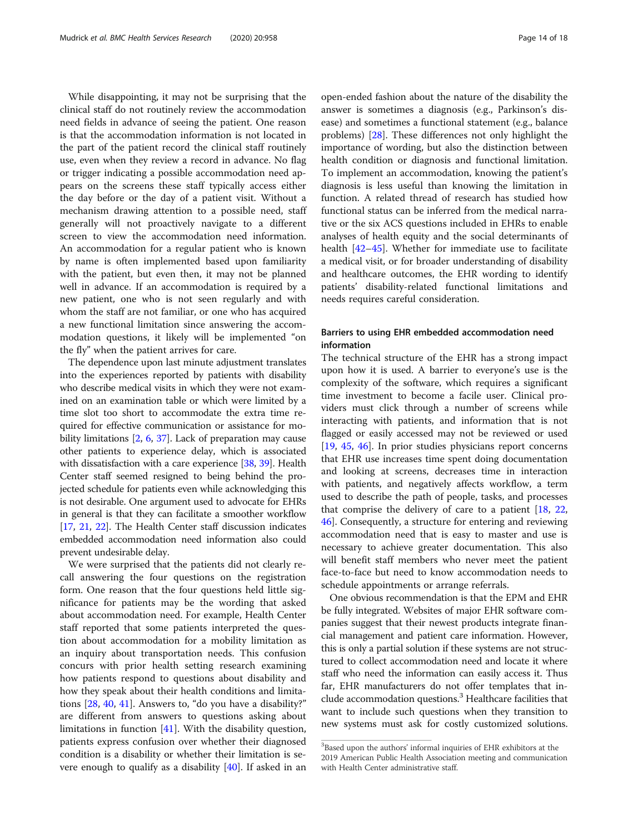While disappointing, it may not be surprising that the clinical staff do not routinely review the accommodation need fields in advance of seeing the patient. One reason is that the accommodation information is not located in the part of the patient record the clinical staff routinely use, even when they review a record in advance. No flag or trigger indicating a possible accommodation need appears on the screens these staff typically access either the day before or the day of a patient visit. Without a mechanism drawing attention to a possible need, staff generally will not proactively navigate to a different screen to view the accommodation need information. An accommodation for a regular patient who is known by name is often implemented based upon familiarity with the patient, but even then, it may not be planned well in advance. If an accommodation is required by a new patient, one who is not seen regularly and with whom the staff are not familiar, or one who has acquired a new functional limitation since answering the accommodation questions, it likely will be implemented "on the fly" when the patient arrives for care.

The dependence upon last minute adjustment translates into the experiences reported by patients with disability who describe medical visits in which they were not examined on an examination table or which were limited by a time slot too short to accommodate the extra time required for effective communication or assistance for mo-bility limitations [\[2](#page-16-0), [6](#page-16-0), [37](#page-17-0)]. Lack of preparation may cause other patients to experience delay, which is associated with dissatisfaction with a care experience [\[38](#page-17-0), [39\]](#page-17-0). Health Center staff seemed resigned to being behind the projected schedule for patients even while acknowledging this is not desirable. One argument used to advocate for EHRs in general is that they can facilitate a smoother workflow [[17](#page-16-0), [21,](#page-16-0) [22](#page-16-0)]. The Health Center staff discussion indicates embedded accommodation need information also could prevent undesirable delay.

We were surprised that the patients did not clearly recall answering the four questions on the registration form. One reason that the four questions held little significance for patients may be the wording that asked about accommodation need. For example, Health Center staff reported that some patients interpreted the question about accommodation for a mobility limitation as an inquiry about transportation needs. This confusion concurs with prior health setting research examining how patients respond to questions about disability and how they speak about their health conditions and limitations [[28,](#page-17-0) [40,](#page-17-0) [41\]](#page-17-0). Answers to, "do you have a disability?" are different from answers to questions asking about limitations in function [\[41](#page-17-0)]. With the disability question, patients express confusion over whether their diagnosed condition is a disability or whether their limitation is severe enough to qualify as a disability [\[40](#page-17-0)]. If asked in an

open-ended fashion about the nature of the disability the answer is sometimes a diagnosis (e.g., Parkinson's disease) and sometimes a functional statement (e.g., balance problems) [[28\]](#page-17-0). These differences not only highlight the importance of wording, but also the distinction between health condition or diagnosis and functional limitation. To implement an accommodation, knowing the patient's diagnosis is less useful than knowing the limitation in function. A related thread of research has studied how functional status can be inferred from the medical narrative or the six ACS questions included in EHRs to enable analyses of health equity and the social determinants of health [[42](#page-17-0)–[45\]](#page-17-0). Whether for immediate use to facilitate a medical visit, or for broader understanding of disability and healthcare outcomes, the EHR wording to identify patients' disability-related functional limitations and needs requires careful consideration.

### Barriers to using EHR embedded accommodation need information

The technical structure of the EHR has a strong impact upon how it is used. A barrier to everyone's use is the complexity of the software, which requires a significant time investment to become a facile user. Clinical providers must click through a number of screens while interacting with patients, and information that is not flagged or easily accessed may not be reviewed or used [[19,](#page-16-0) [45,](#page-17-0) [46](#page-17-0)]. In prior studies physicians report concerns that EHR use increases time spent doing documentation and looking at screens, decreases time in interaction with patients, and negatively affects workflow, a term used to describe the path of people, tasks, and processes that comprise the delivery of care to a patient  $[18, 22, 16]$  $[18, 22, 16]$  $[18, 22, 16]$  $[18, 22, 16]$ [46\]](#page-17-0). Consequently, a structure for entering and reviewing accommodation need that is easy to master and use is necessary to achieve greater documentation. This also will benefit staff members who never meet the patient face-to-face but need to know accommodation needs to schedule appointments or arrange referrals.

One obvious recommendation is that the EPM and EHR be fully integrated. Websites of major EHR software companies suggest that their newest products integrate financial management and patient care information. However, this is only a partial solution if these systems are not structured to collect accommodation need and locate it where staff who need the information can easily access it. Thus far, EHR manufacturers do not offer templates that include accommodation questions.<sup>3</sup> Healthcare facilities that want to include such questions when they transition to new systems must ask for costly customized solutions.

<sup>&</sup>lt;sup>3</sup>Based upon the authors' informal inquiries of EHR exhibitors at the 2019 American Public Health Association meeting and communication with Health Center administrative staff.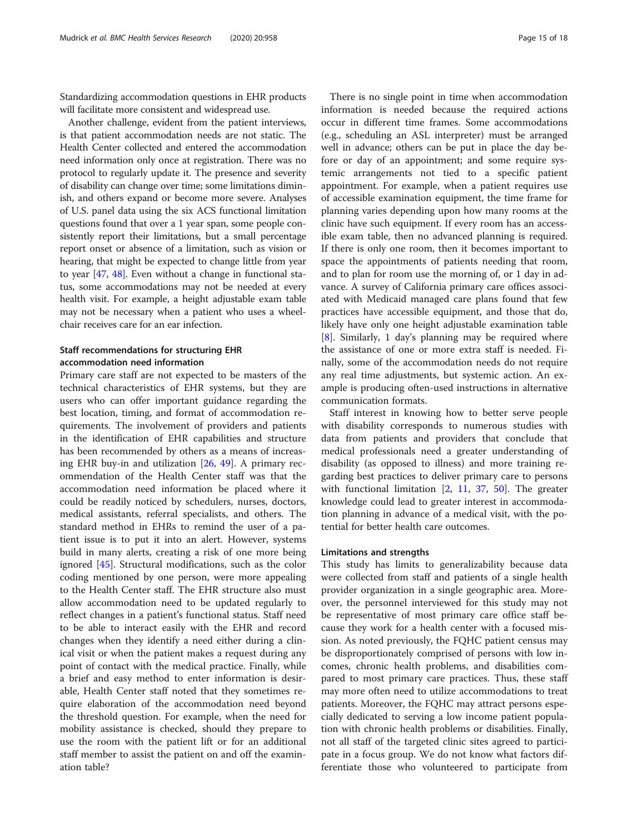Standardizing accommodation questions in EHR products will facilitate more consistent and widespread use.

Another challenge, evident from the patient interviews, is that patient accommodation needs are not static. The Health Center collected and entered the accommodation need information only once at registration. There was no protocol to regularly update it. The presence and severity of disability can change over time; some limitations diminish, and others expand or become more severe. Analyses of U.S. panel data using the six ACS functional limitation questions found that over a 1 year span, some people consistently report their limitations, but a small percentage report onset or absence of a limitation, such as vision or hearing, that might be expected to change little from year to year [\[47,](#page-17-0) [48\]](#page-17-0). Even without a change in functional status, some accommodations may not be needed at every health visit. For example, a height adjustable exam table may not be necessary when a patient who uses a wheelchair receives care for an ear infection.

### Staff recommendations for structuring EHR accommodation need information

Primary care staff are not expected to be masters of the technical characteristics of EHR systems, but they are users who can offer important guidance regarding the best location, timing, and format of accommodation requirements. The involvement of providers and patients in the identification of EHR capabilities and structure has been recommended by others as a means of increasing EHR buy-in and utilization  $[26, 49]$  $[26, 49]$  $[26, 49]$ . A primary recommendation of the Health Center staff was that the accommodation need information be placed where it could be readily noticed by schedulers, nurses, doctors, medical assistants, referral specialists, and others. The standard method in EHRs to remind the user of a patient issue is to put it into an alert. However, systems build in many alerts, creating a risk of one more being ignored [[45](#page-17-0)]. Structural modifications, such as the color coding mentioned by one person, were more appealing to the Health Center staff. The EHR structure also must allow accommodation need to be updated regularly to reflect changes in a patient's functional status. Staff need to be able to interact easily with the EHR and record changes when they identify a need either during a clinical visit or when the patient makes a request during any point of contact with the medical practice. Finally, while a brief and easy method to enter information is desirable, Health Center staff noted that they sometimes require elaboration of the accommodation need beyond the threshold question. For example, when the need for mobility assistance is checked, should they prepare to use the room with the patient lift or for an additional staff member to assist the patient on and off the examination table?

There is no single point in time when accommodation information is needed because the required actions occur in different time frames. Some accommodations (e.g., scheduling an ASL interpreter) must be arranged well in advance; others can be put in place the day before or day of an appointment; and some require systemic arrangements not tied to a specific patient appointment. For example, when a patient requires use of accessible examination equipment, the time frame for planning varies depending upon how many rooms at the clinic have such equipment. If every room has an accessible exam table, then no advanced planning is required. If there is only one room, then it becomes important to space the appointments of patients needing that room, and to plan for room use the morning of, or 1 day in advance. A survey of California primary care offices associated with Medicaid managed care plans found that few practices have accessible equipment, and those that do, likely have only one height adjustable examination table [[8\]](#page-16-0). Similarly, 1 day's planning may be required where the assistance of one or more extra staff is needed. Finally, some of the accommodation needs do not require any real time adjustments, but systemic action. An example is producing often-used instructions in alternative communication formats.

Staff interest in knowing how to better serve people with disability corresponds to numerous studies with data from patients and providers that conclude that medical professionals need a greater understanding of disability (as opposed to illness) and more training regarding best practices to deliver primary care to persons with functional limitation [\[2](#page-16-0), [11](#page-16-0), [37](#page-17-0), [50](#page-17-0)]. The greater knowledge could lead to greater interest in accommodation planning in advance of a medical visit, with the potential for better health care outcomes.

#### Limitations and strengths

This study has limits to generalizability because data were collected from staff and patients of a single health provider organization in a single geographic area. Moreover, the personnel interviewed for this study may not be representative of most primary care office staff because they work for a health center with a focused mission. As noted previously, the FQHC patient census may be disproportionately comprised of persons with low incomes, chronic health problems, and disabilities compared to most primary care practices. Thus, these staff may more often need to utilize accommodations to treat patients. Moreover, the FQHC may attract persons especially dedicated to serving a low income patient population with chronic health problems or disabilities. Finally, not all staff of the targeted clinic sites agreed to participate in a focus group. We do not know what factors differentiate those who volunteered to participate from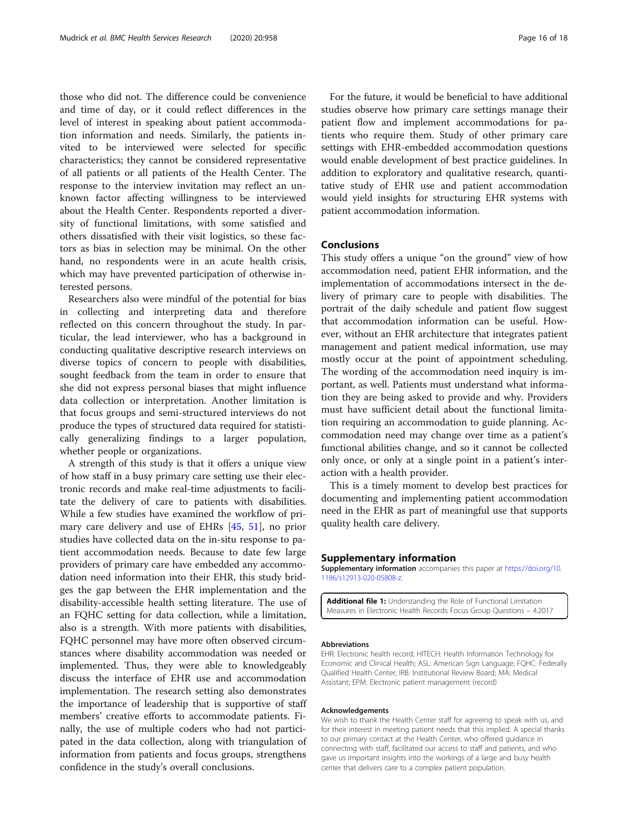<span id="page-15-0"></span>those who did not. The difference could be convenience and time of day, or it could reflect differences in the level of interest in speaking about patient accommodation information and needs. Similarly, the patients invited to be interviewed were selected for specific characteristics; they cannot be considered representative of all patients or all patients of the Health Center. The response to the interview invitation may reflect an unknown factor affecting willingness to be interviewed about the Health Center. Respondents reported a diversity of functional limitations, with some satisfied and others dissatisfied with their visit logistics, so these factors as bias in selection may be minimal. On the other hand, no respondents were in an acute health crisis, which may have prevented participation of otherwise interested persons.

Researchers also were mindful of the potential for bias in collecting and interpreting data and therefore reflected on this concern throughout the study. In particular, the lead interviewer, who has a background in conducting qualitative descriptive research interviews on diverse topics of concern to people with disabilities, sought feedback from the team in order to ensure that she did not express personal biases that might influence data collection or interpretation. Another limitation is that focus groups and semi-structured interviews do not produce the types of structured data required for statistically generalizing findings to a larger population, whether people or organizations.

A strength of this study is that it offers a unique view of how staff in a busy primary care setting use their electronic records and make real-time adjustments to facilitate the delivery of care to patients with disabilities. While a few studies have examined the workflow of primary care delivery and use of EHRs [\[45](#page-17-0), [51\]](#page-17-0), no prior studies have collected data on the in-situ response to patient accommodation needs. Because to date few large providers of primary care have embedded any accommodation need information into their EHR, this study bridges the gap between the EHR implementation and the disability-accessible health setting literature. The use of an FQHC setting for data collection, while a limitation, also is a strength. With more patients with disabilities, FQHC personnel may have more often observed circumstances where disability accommodation was needed or implemented. Thus, they were able to knowledgeably discuss the interface of EHR use and accommodation implementation. The research setting also demonstrates the importance of leadership that is supportive of staff members' creative efforts to accommodate patients. Finally, the use of multiple coders who had not participated in the data collection, along with triangulation of information from patients and focus groups, strengthens confidence in the study's overall conclusions.

For the future, it would be beneficial to have additional studies observe how primary care settings manage their patient flow and implement accommodations for patients who require them. Study of other primary care settings with EHR-embedded accommodation questions would enable development of best practice guidelines. In addition to exploratory and qualitative research, quantitative study of EHR use and patient accommodation would yield insights for structuring EHR systems with patient accommodation information.

### **Conclusions**

This study offers a unique "on the ground" view of how accommodation need, patient EHR information, and the implementation of accommodations intersect in the delivery of primary care to people with disabilities. The portrait of the daily schedule and patient flow suggest that accommodation information can be useful. However, without an EHR architecture that integrates patient management and patient medical information, use may mostly occur at the point of appointment scheduling. The wording of the accommodation need inquiry is important, as well. Patients must understand what information they are being asked to provide and why. Providers must have sufficient detail about the functional limitation requiring an accommodation to guide planning. Accommodation need may change over time as a patient's functional abilities change, and so it cannot be collected only once, or only at a single point in a patient's interaction with a health provider.

This is a timely moment to develop best practices for documenting and implementing patient accommodation need in the EHR as part of meaningful use that supports quality health care delivery.

#### Supplementary information

Supplementary information accompanies this paper at [https://doi.org/10.](https://doi.org/10.1186/s12913-020-05808-z) [1186/s12913-020-05808-z.](https://doi.org/10.1186/s12913-020-05808-z)

Additional file 1: Understanding the Role of Functional Limitation Measures in Electronic Health Records Focus Group Questions – 4.2017

#### Abbreviations

EHR: Electronic health record; HITECH: Health Information Technology for Economic and Clinical Health; ASL: American Sign Language; FQHC: Federally Qualified Health Center; IRB: Institutional Review Board; MA: Medical Assistant; EPM: Electronic patient management (record)

#### Acknowledgements

We wish to thank the Health Center staff for agreeing to speak with us, and for their interest in meeting patient needs that this implied. A special thanks to our primary contact at the Health Center, who offered guidance in connecting with staff, facilitated our access to staff and patients, and who gave us important insights into the workings of a large and busy health center that delivers care to a complex patient population.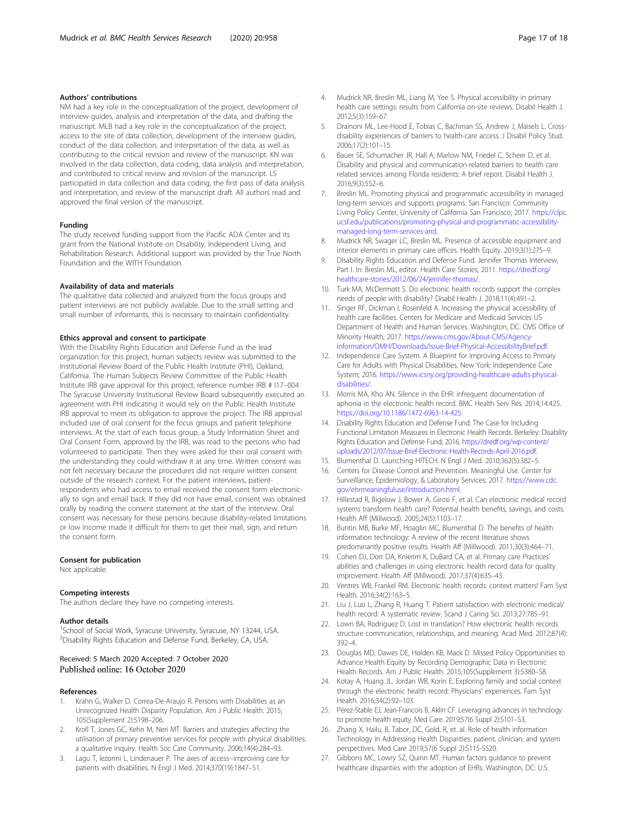### <span id="page-16-0"></span>Authors' contributions

NM had a key role in the conceptualization of the project, development of interview guides, analysis and interpretation of the data, and drafting the manuscript. MLB had a key role in the conceptualization of the project, access to the site of data collection, development of the interview guides, conduct of the data collection, and interpretation of the data, as well as contributing to the critical revision and review of the manuscript. KN was involved in the data collection, data coding, data analysis and interpretation, and contributed to critical review and revision of the manuscript. LS participated in data collection and data coding, the first pass of data analysis and interpretation, and review of the manuscript draft. All authors read and approved the final version of the manuscript.

#### Funding

The study received funding support from the Pacific ADA Center and its grant from the National Institute on Disability, Independent Living, and Rehabilitation Research. Additional support was provided by the True North Foundation and the WITH Foundation.

### Availability of data and materials

The qualitative data collected and analyzed from the focus groups and patient interviews are not publicly available. Due to the small setting and small number of informants, this is necessary to maintain confidentiality.

#### Ethics approval and consent to participate

With the Disability Rights Education and Defense Fund as the lead organization for this project, human subjects review was submitted to the Institutional Review Board of the Public Health Institute (PHI), Oakland, California. The Human Subjects Review Committee of the Public Health Institute IRB gave approval for this project, reference number IRB # I17–004. The Syracuse University Institutional Review Board subsequently executed an agreement with PHI indicating it would rely on the Public Health Institute IRB approval to meet its obligation to approve the project. The IRB approval included use of oral consent for the focus groups and patient telephone interviews. At the start of each focus group, a Study Information Sheet and Oral Consent Form, approved by the IRB, was read to the persons who had volunteered to participate. Then they were asked for their oral consent with the understanding they could withdraw it at any time. Written consent was not felt necessary because the procedures did not require written consent outside of the research context. For the patient interviews, patientrespondents who had access to email received the consent form electronically to sign and email back. If they did not have email, consent was obtained orally by reading the consent statement at the start of the interview. Oral consent was necessary for these persons because disability-related limitations or low income made it difficult for them to get their mail, sign, and return the consent form.

#### Consent for publication

Not applicable.

#### Competing interests

The authors declare they have no competing interests.

### Author details

<sup>1</sup>School of Social Work, Syracuse University, Syracuse, NY 13244, USA. <sup>2</sup> Disability Rights Education and Defense Fund, Berkeley, CA, USA.

### Received: 5 March 2020 Accepted: 7 October 2020 Published online: 16 October 2020

#### References

- 1. Krahn G, Walker D, Correa-De-Araujo R. Persons with Disabilities as an Unrecognized Health Disparity Population. Am J Public Health. 2015; 105(Supplement 2):S198–206.
- 2. Kroll T, Jones GC, Kehn M, Neri MT. Barriers and strategies affecting the utilisation of primary preventive services for people with physical disabilities: a qualitative inquiry. Health Soc Care Community. 2006;14(4):284–93.
- Lagu T, Iezonni L, Lindenauer P. The axes of access--improving care for patients with disabilities. N Engl J Med. 2014;370(19):1847–51.
- 4. Mudrick NR, Breslin ML, Liang M, Yee S. Physical accessibility in primary health care settings: results from California on-site reviews. Disabil Health J. 2012;5(3):159–67.
- 5. Drainoni ML, Lee-Hood E, Tobias C, Bachman SS, Andrew J, Maisels L. Crossdisability experiences of barriers to health-care access. J Disabil Policy Stud. 2006;17(2):101–15.
- 6. Bauer SE, Schumacher JR, Hall A, Marlow NM, Friedel C, Scheer D, et al. Disability and physical and communication-related barriers to health care related services among Florida residents: A brief report. Disabil Health J. 2016;9(3):552–6.
- 7. Breslin ML. Promoting physical and programmatic accessibility in managed long-term services and supports programs. San Francisco: Community Living Policy Center, University of California San Francisco; 2017. [https://clpc.](https://clpc.ucsf.edu/publications/promoting-physical-and-programmatic-accessibility-managed-long-term-services-and) [ucsf.edu/publications/promoting-physical-and-programmatic-accessibility](https://clpc.ucsf.edu/publications/promoting-physical-and-programmatic-accessibility-managed-long-term-services-and)[managed-long-term-services-and](https://clpc.ucsf.edu/publications/promoting-physical-and-programmatic-accessibility-managed-long-term-services-and).
- Mudrick NR, Swager LC, Breslin ML. Presence of accessible equipment and interior elements in primary care offices. Health Equity. 2019;3(1):275–9.
- Disability Rights Education and Defense Fund. Jennifer Thomas Interview, Part I. In: Breslin ML, editor. Health Care Stories; 2011. [https://dredf.org/](https://dredf.org/healthcare-stories/2012/06/24/jennifer-thomas/) [healthcare-stories/2012/06/24/jennifer-thomas/.](https://dredf.org/healthcare-stories/2012/06/24/jennifer-thomas/)
- 10. Turk MA, McDermott S. Do electronic health records support the complex needs of people with disability? Disabil Health J. 2018;11(4):491–2.
- 11. Singer RF, Dickman I, Rosenfeld A. Increasing the physical accessibility of health care facilities. Centers for Medicare and Medicaid Services US Department of Health and Human Services. Washington, DC: CMS Office of Minority Health; 2017. [https://www.cms.gov/About-CMS/Agency](https://www.cms.gov/About-CMS/Agency-information/OMH/Downloads/Issue-Brief-Physical-AccessibilityBrief.pdf)[information/OMH/Downloads/Issue-Brief-Physical-AccessibilityBrief.pdf](https://www.cms.gov/About-CMS/Agency-information/OMH/Downloads/Issue-Brief-Physical-AccessibilityBrief.pdf).
- 12. Independence Care System. A Blueprint for Improving Access to Primary Care for Adults with Physical Disabilities. New York: Independence Care System; 2016. [https://www.icsny.org/providing-healthcare-adults-physical](https://www.icsny.org/providing-healthcare-adults-physical-disabilities/)[disabilities/](https://www.icsny.org/providing-healthcare-adults-physical-disabilities/).
- 13. Morris MA, Kho AN. Silence in the EHR: infrequent documentation of aphonia in the electronic health record. BMC Health Serv Res. 2014;14:425. [https://doi.org/10.1186/1472-6963-14-425.](https://doi.org/10.1186/1472-6963-14-425)
- 14. Disability Rights Education and Defense Fund. The Case for Including Functional Limitation Measures in Electronic Health Records. Berkeley: Disability Rights Education and Defense Fund; 2016. [https://dredf.org/wp-content/](https://dredf.org/wp-content/uploads/2012/07/Issue-Brief-Electronic-Health-Records-April-2016.pdf) [uploads/2012/07/Issue-Brief-Electronic-Health-Records-April-2016.pdf.](https://dredf.org/wp-content/uploads/2012/07/Issue-Brief-Electronic-Health-Records-April-2016.pdf)
- 15. Blumenthal D. Launching HITECH. N Engl J Med. 2010;362(5):382–5.
- 16. Centers for Disease Control and Prevention. Meaningful Use. Center for Surveillance, Epidemiology, & Laboratory Services; 2017. [https://www.cdc.](https://www.cdc.gov/ehrmeaningfuluse/introduction.html) [gov/ehrmeaningfuluse/introduction.html](https://www.cdc.gov/ehrmeaningfuluse/introduction.html).
- 17. Hillestad R, Bigelow J, Bower A, Girosi F, et al. Can electronic medical record systems transform health care? Potential health benefits, savings, and costs. Health Aff (Millwood). 2005;24(5):1103–17.
- 18. Buntin MB, Burke MF, Hoaglin MC, Blumenthal D. The benefits of health information technology: A review of the recent literature shows predominantly positive results. Health Aff (Millwood). 2011;30(3):464–71.
- 19. Cohen DJ, Dorr DA, Knierim K, DuBard CA, et al. Primary care Practices' abilities and challenges in using electronic health record data for quality improvement. Health Aff (Millwood). 2017;37(4):635–43.
- 20. Ventres WB, Frankel RM. Electronic health records: context matters! Fam Syst Health. 2016;34(2):163–5.
- 21. Liu J, Luo L, Zhang R, Huang T. Patient satisfaction with electronic medical/ health record: A systematic review. Scand J Caring Sci. 2013;27:785–91.
- 22. Lown BA, Rodriguez D. Lost in translation? How electronic health records structure communication, relationships, and meaning. Acad Med. 2012;87(4): 392–4.
- 23. Douglas MD, Dawes DE, Holden KB, Mack D. Missed Policy Opportunities to Advance Health Equity by Recording Demographic Data in Electronic Health Records. Am J Public Health. 2015;105(Supplement 3):S380–S8.
- 24. Kotay A, Huang JL, Jordan WB, Korin E. Exploring family and social context through the electronic health record: Physicians' experiences. Fam Syst Health. 2016;34(2):92–103.
- 25. Pérez-Stable EJ, Jean-Francois B, Aklin CF. Leveraging advances in technology to promote health equity. Med Care. 2019;57(6 Suppl 2):S101–S3.
- 26. Zhang X, Hailu, B, Tabor, DC, Gold, R, et. al. Role of health information Technology in Addressing Health Disparities: patient, clinician, and system perspectives. Med Care 2019;57(6 Suppl 2):S115-SS20.
- 27. Gibbons MC, Lowry SZ, Quinn MT. Human factors guidance to prevent healthcare disparities with the adoption of EHRs. Washington, DC: U.S.